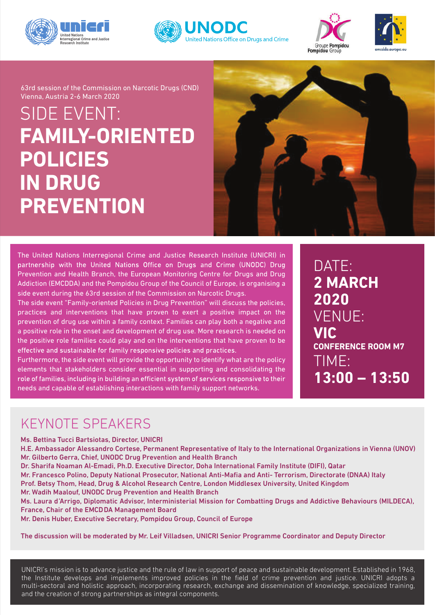







SIDE EVENT: **FAMILY-ORIENTED POLICIES IN DRUG PREVENTION** 63rd session of the Commission on Narcotic Drugs (CND) Vienna, Austria 2-6 March 2020



The United Nations Interregional Crime and Justice Research Institute (UNICRI) in partnership with the United Nations Office on Drugs and Crime (UNODC) Drug Prevention and Health Branch, the European Monitoring Centre for Drugs and Drug Addiction (EMCDDA) and the Pompidou Group of the Council of Europe, is organising a side event during the 63rd session of the Commission on Narcotic Drugs.

The side event "Family-oriented Policies in Drug Prevention" will discuss the policies, practices and interventions that have proven to exert a positive impact on the prevention of drug use within a family context. Families can play both a negative and a positive role in the onset and development of drug use. More research is needed on the positive role families could play and on the interventions that have proven to be effective and sustainable for family responsive policies and practices.

Furthermore, the side event will provide the opportunity to identify what are the policy elements that stakeholders consider essential in supporting and consolidating the role of families, including in building an efficient system of services responsive to their needs and capable of establishing interactions with family support networks.

DATE: **2 MARCH 2020** VENUE: **VIC CONFERENCE ROOM M7** TIME: **13:00 – 13:50**

## KEYNOTE SPEAKERS

Ms. Bettina Tucci Bartsiotas, Director, UNICRI

H.E. Ambassador Alessandro Cortese, Permanent Representative of Italy to the International Organizations in Vienna (UNOV) Mr. Gilberto Gerra, Chief, UNODC Drug Prevention and Health Branch

Dr. Sharifa Noaman Al-Emadi, Ph.D. Executive Director, Doha International Family Institute (DIFI), Qatar

Mr. Francesco Polino, Deputy National Prosecutor, National Anti-Mafia and Anti- Terrorism, Directorate (DNAA) Italy Prof. Betsy Thom, Head, Drug & Alcohol Research Centre, London Middlesex University, United Kingdom

Mr. Wadih Maalouf, UNODC Drug Prevention and Health Branch

Ms. Laura d'Arrigo, Diplomatic Advisor, Interministerial Mission for Combatting Drugs and Addictive Behaviours (MILDECA), France, Chair of the EMCDDA Management Board

Mr. Denis Huber, Executive Secretary, Pompidou Group, Council of Europe

The discussion will be moderated by Mr. Leif Villadsen, UNICRI Senior Programme Coordinator and Deputy Director

UNICRI's mission is to advance justice and the rule of law in support of peace and sustainable development. Established in 1968, the Institute develops and implements improved policies in the field of crime prevention and justice. UNICRI adopts a multi-sectoral and holistic approach, incorporating research, exchange and dissemination of knowledge, specialized training, and the creation of strong partnerships as integral components.